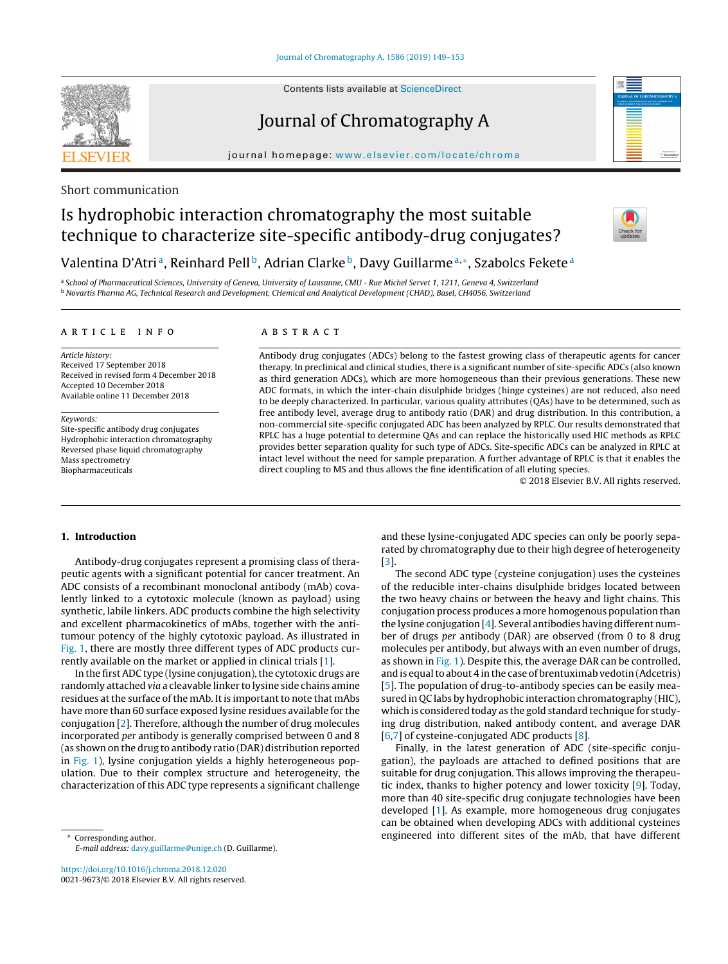Contents lists available at [ScienceDirect](http://www.sciencedirect.com/science/journal/00219673)

## Journal of Chromatography A

iournal homepage: [www.elsevier.com/locate/chroma](http://www.elsevier.com/locate/chroma)

### Short communication

# Is hydrophobic interaction chromatography the most suitable technique to characterize site-specific antibody-drug conjugates?



### Valentina D'Atri<sup>a</sup>, Reinhard Pell<sup>b</sup>, Adrian Clarke<sup>b</sup>, Davy Guillarme<sup>a,∗</sup>, Szabolcs Fekete<sup>a</sup>

a School of Pharmaceutical Sciences, University of Geneva, University of Lausanne, CMU - Rue Michel Servet 1, 1211, Geneva 4, Switzerland <sup>b</sup> Novartis Pharma AG, Technical Research and Development, CHemical and Analytical Development (CHAD), Basel, CH4056, Switzerland

#### a r t i c l e i n f o

Article history: Received 17 September 2018 Received in revised form 4 December 2018 Accepted 10 December 2018 Available online 11 December 2018

Keywords:

Site-specific antibody drug conjugates Hydrophobic interaction chromatography Reversed phase liquid chromatography Mass spectrometry Biopharmaceuticals

#### a b s t r a c t

Antibody drug conjugates (ADCs) belong to the fastest growing class of therapeutic agents for cancer therapy. In preclinical and clinical studies, there is a significant number of site-specific ADCs (also known as third generation ADCs), which are more homogeneous than their previous generations. These new ADC formats, in which the inter-chain disulphide bridges (hinge cysteines) are not reduced, also need to be deeply characterized. In particular, various quality attributes (QAs) have to be determined, such as free antibody level, average drug to antibody ratio (DAR) and drug distribution. In this contribution, a non-commercial site-specific conjugated ADC has been analyzed by RPLC. Our results demonstrated that RPLC has a huge potential to determine QAs and can replace the historically used HIC methods as RPLC provides better separation quality for such type of ADCs. Site-specific ADCs can be analyzed in RPLC at intact level without the need for sample preparation. A further advantage of RPLC is that it enables the direct coupling to MS and thus allows the fine identification of all eluting species.

© 2018 Elsevier B.V. All rights reserved.

#### **1. Introduction**

Antibody-drug conjugates represent a promising class of therapeutic agents with a significant potential for cancer treatment. An ADC consists of a recombinant monoclonal antibody (mAb) covalently linked to a cytotoxic molecule (known as payload) using synthetic, labile linkers. ADC products combine the high selectivity and excellent pharmacokinetics of mAbs, together with the antitumour potency of the highly cytotoxic payload. As illustrated in [Fig.](#page-1-0) 1, there are mostly three different types of ADC products currently available on the market or applied in clinical trials [[1\].](#page-3-0)

In the first ADC type (lysine conjugation), the cytotoxic drugs are randomly attached via a cleavable linker to lysine side chains amine residues at the surface of the mAb. It is important to note that mAbs have more than 60 surface exposed lysine residues available for the conjugation [[2\].](#page-3-0) Therefore, although the number of drug molecules incorporated per antibody is generally comprised between 0 and 8 (as shown on the drug to antibody ratio (DAR) distribution reported in [Fig.](#page-1-0) 1), lysine conjugation yields a highly heterogeneous population. Due to their complex structure and heterogeneity, the characterization of this ADC type represents a significant challenge

Corresponding author. E-mail address: [davy.guillarme@unige.ch](mailto:davy.guillarme@unige.ch) (D. Guillarme).

<https://doi.org/10.1016/j.chroma.2018.12.020> 0021-9673/© 2018 Elsevier B.V. All rights reserved. and these lysine-conjugated ADC species can only be poorly separated by chromatography due to their high degree of heterogeneity [\[3\].](#page-4-0)

The second ADC type (cysteine conjugation) uses the cysteines of the reducible inter-chains disulphide bridges located between the two heavy chains or between the heavy and light chains. This conjugation process produces a more homogenous population than the lysine conjugation [[4\].](#page-4-0) Several antibodies having different number of drugs per antibody (DAR) are observed (from 0 to 8 drug molecules per antibody, but always with an even number of drugs, as shown in [Fig.](#page-1-0) 1). Despite this, the average DAR can be controlled, and is equal to about 4 in the case of brentuximab vedotin (Adcetris) [\[5\].](#page-4-0) The population of drug-to-antibody species can be easily measured in QC labs by hydrophobic interaction chromatography (HIC), which is considered today as the gold standard technique for studying drug distribution, naked antibody content, and average DAR [\[6,7\]](#page-4-0) of cysteine-conjugated ADC products [[8\].](#page-4-0)

Finally, in the latest generation of ADC (site-specific conjugation), the payloads are attached to defined positions that are suitable for drug conjugation. This allows improving the therapeutic index, thanks to higher potency and lower toxicity [\[9\].](#page-4-0) Today, more than 40 site-specific drug conjugate technologies have been developed [\[1\].](#page-3-0) As example, more homogeneous drug conjugates can be obtained when developing ADCs with additional cysteines engineered into different sites of the mAb, that have different

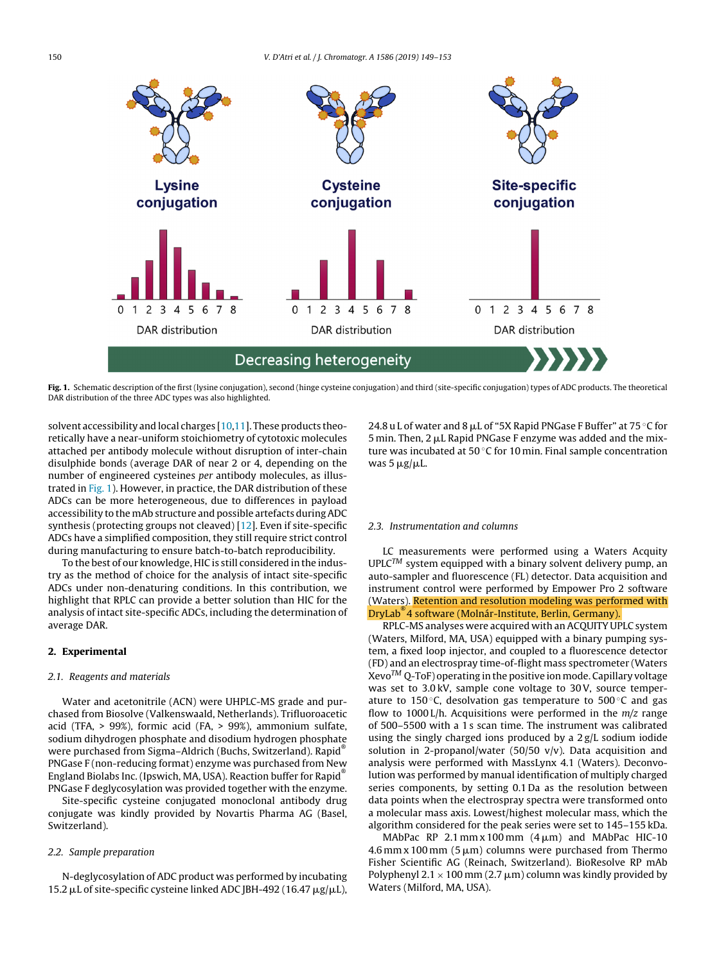<span id="page-1-0"></span>

**Fig. 1.** Schematic description of the first (lysine conjugation), second (hinge cysteine conjugation) and third (site-specific conjugation) types of ADC products. The theoretical DAR distribution of the three ADC types was also highlighted.

solvent accessibility and local charges [\[10,11\].](#page-4-0) These products theoretically have a near-uniform stoichiometry of cytotoxic molecules attached per antibody molecule without disruption of inter-chain disulphide bonds (average DAR of near 2 or 4, depending on the number of engineered cysteines per antibody molecules, as illustrated in Fig. 1). However, in practice, the DAR distribution of these ADCs can be more heterogeneous, due to differences in payload accessibility to the mAb structure and possible artefacts duringADC synthesis (protecting groups not cleaved) [[12\].](#page-4-0) Even if site-specific ADCs have a simplified composition, they still require strict control during manufacturing to ensure batch-to-batch reproducibility.

To the best of our knowledge, HIC is still considered in the industry as the method of choice for the analysis of intact site-specific ADCs under non-denaturing conditions. In this contribution, we highlight that RPLC can provide a better solution than HIC for the analysis of intact site-specific ADCs, including the determination of average DAR.

#### **2. Experimental**

#### 2.1. Reagents and materials

Water and acetonitrile (ACN) were UHPLC-MS grade and purchased from Biosolve (Valkenswaald, Netherlands). Trifluoroacetic acid (TFA, > 99%), formic acid (FA, > 99%), ammonium sulfate, sodium dihydrogen phosphate and disodium hydrogen phosphate were purchased from Sigma–Aldrich (Buchs, Switzerland). Rapid<sup>®</sup> PNGase F (non-reducing format) enzyme was purchased from New England Biolabs Inc. (Ipswich, MA, USA). Reaction buffer for Rapid® PNGase F deglycosylation was provided together with the enzyme.

Site-specific cysteine conjugated monoclonal antibody drug conjugate was kindly provided by Novartis Pharma AG (Basel, Switzerland).

#### 2.2. Sample preparation

N-deglycosylation of ADC product was performed by incubating  $15.2 \,\mu$ L of site-specific cysteine linked ADC JBH-492 (16.47  $\mu$ g/ $\mu$ L),

24.8 u L of water and 8  $\rm \mu L$  of "5X Rapid PNGase F Buffer" at 75 °C for 5 min. Then, 2  $\mu$ L Rapid PNGase F enzyme was added and the mixture was incubated at 50 ℃ for 10 min. Final sample concentration was 5  $\mu$ g/ $\mu$ L.

#### 2.3. Instrumentation and columns

LC measurements were performed using a Waters Acquity  $UPLC^{TM}$  system equipped with a binary solvent delivery pump, an auto-sampler and fluorescence (FL) detector. Data acquisition and instrument control were performed by Empower Pro 2 software (Waters). Retention and resolution modeling was performed with DryLab® 4 software (Molnár-Institute, Berlin, Germany).

RPLC-MS analyses were acquired with an ACQUITY UPLC system (Waters, Milford, MA, USA) equipped with a binary pumping system, a fixed loop injector, and coupled to a fluorescence detector (FD) and an electrospray time-of-flight mass spectrometer (Waters  $Xevo^{TM} Q-ToF$ ) operating in the positive ion mode. Capillary voltage was set to 3.0 kV, sample cone voltage to 30V, source temperature to 150 $\degree$ C, desolvation gas temperature to 500 $\degree$ C and gas flow to 1000 L/h. Acquisitions were performed in the  $m/z$  range of 500–5500 with a 1 s scan time. The instrument was calibrated using the singly charged ions produced by a 2 g/L sodium iodide solution in 2-propanol/water (50/50 v/v). Data acquisition and analysis were performed with MassLynx 4.1 (Waters). Deconvolution was performed by manual identification of multiply charged series components, by setting 0.1 Da as the resolution between data points when the electrospray spectra were transformed onto a molecular mass axis. Lowest/highest molecular mass, which the algorithm considered for the peak series were set to 145–155 kDa.

MAbPac RP 2.1 mm x 100 mm  $(4 \mu m)$  and MAbPac HIC-10  $4.6\,\rm{mm}$  x 100 mm  $(5\,\rm{\mu m})$  columns were purchased from Thermo Fisher Scientific AG (Reinach, Switzerland). BioResolve RP mAb Polyphenyl 2.1  $\times$  100 mm (2.7  $\mu$ m) column was kindly provided by Waters (Milford, MA, USA).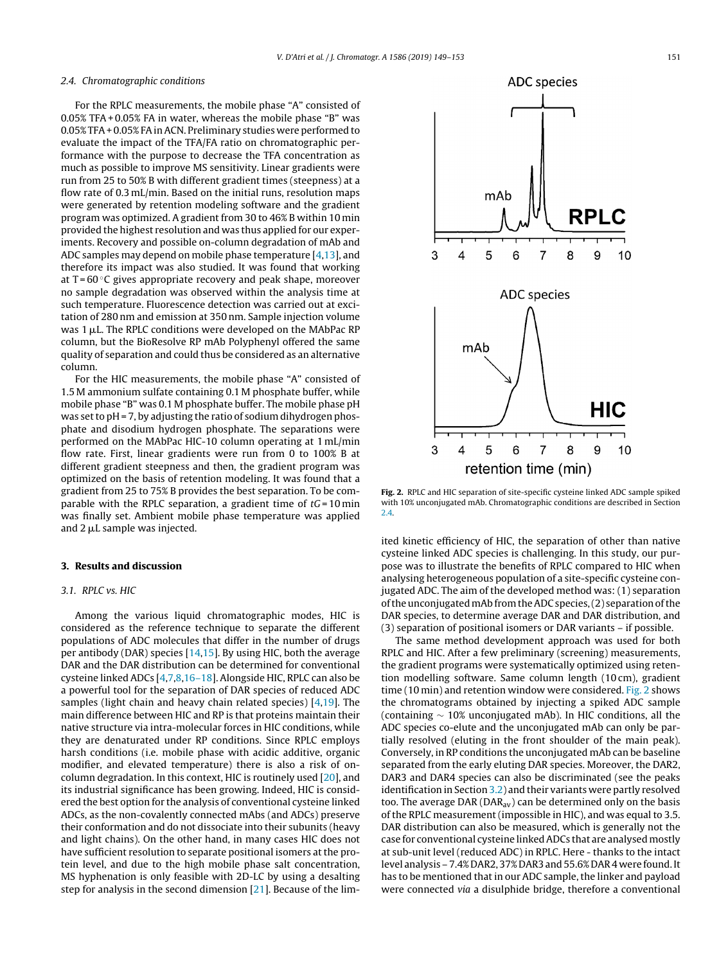#### <span id="page-2-0"></span>2.4. Chromatographic conditions

For the RPLC measurements, the mobile phase "A" consisted of 0.05% TFA+ 0.05% FA in water, whereas the mobile phase "B" was 0.05% TFA + 0.05% FA in ACN. Preliminary studies were performed to evaluate the impact of the TFA/FA ratio on chromatographic performance with the purpose to decrease the TFA concentration as much as possible to improve MS sensitivity. Linear gradients were run from 25 to 50% B with different gradient times (steepness) at a flow rate of 0.3 mL/min. Based on the initial runs, resolution maps were generated by retention modeling software and the gradient program was optimized. A gradient from 30 to 46% B within 10 min provided the highest resolution and was thus applied for our experiments. Recovery and possible on-column degradation of mAb and ADC samples may depend on mobile phase temperature [\[4,13\],](#page-4-0) and therefore its impact was also studied. It was found that working at  $T = 60^{\circ}$ C gives appropriate recovery and peak shape, moreover no sample degradation was observed within the analysis time at such temperature. Fluorescence detection was carried out at excitation of 280 nm and emission at 350 nm. Sample injection volume was 1 µL. The RPLC conditions were developed on the MAbPac RP column, but the BioResolve RP mAb Polyphenyl offered the same quality of separation and could thus be considered as an alternative column.

For the HIC measurements, the mobile phase "A" consisted of 1.5 M ammonium sulfate containing 0.1 M phosphate buffer, while mobile phase "B" was 0.1 M phosphate buffer. The mobile phase pH was set to pH = 7, by adjusting the ratio of sodium dihydrogen phosphate and disodium hydrogen phosphate. The separations were performed on the MAbPac HIC-10 column operating at 1 mL/min flow rate. First, linear gradients were run from 0 to 100% B at different gradient steepness and then, the gradient program was optimized on the basis of retention modeling. It was found that a gradient from 25 to 75% B provides the best separation. To be comparable with the RPLC separation, a gradient time of  $tG = 10$  min was finally set. Ambient mobile phase temperature was applied and 2  $\mu$ L sample was injected.

#### **3. Results and discussion**

#### 3.1. RPLC vs. HIC

Among the various liquid chromatographic modes, HIC is considered as the reference technique to separate the different populations of ADC molecules that differ in the number of drugs per antibody (DAR) species [[14,15\].](#page-4-0) By using HIC, both the average DAR and the DAR distribution can be determined for conventional cysteine linked ADCs [[4,7,8,16–18\].](#page-4-0) Alongside HIC, RPLC can also be a powerful tool for the separation of DAR species of reduced ADC samples (light chain and heavy chain related species) [\[4,19\].](#page-4-0) The main difference between HIC and RP is that proteins maintain their native structure via intra-molecular forces in HIC conditions, while they are denaturated under RP conditions. Since RPLC employs harsh conditions (i.e. mobile phase with acidic additive, organic modifier, and elevated temperature) there is also a risk of oncolumn degradation. In this context, HIC is routinely used [[20\],](#page-4-0) and its industrial significance has been growing. Indeed, HIC is considered the best option for the analysis of conventional cysteine linked ADCs, as the non-covalently connected mAbs (and ADCs) preserve their conformation and do not dissociate into their subunits (heavy and light chains). On the other hand, in many cases HIC does not have sufficient resolution to separate positional isomers at the protein level, and due to the high mobile phase salt concentration, MS hyphenation is only feasible with 2D-LC by using a desalting step for analysis in the second dimension [[21\].](#page-4-0) Because of the lim-



**Fig. 2.** RPLC and HIC separation of site-specific cysteine linked ADC sample spiked with 10% unconjugated mAb. Chromatographic conditions are described in Section 2.4.

ited kinetic efficiency of HIC, the separation of other than native cysteine linked ADC species is challenging. In this study, our purpose was to illustrate the benefits of RPLC compared to HIC when analysing heterogeneous population of a site-specific cysteine conjugated ADC. The aim of the developed method was: (1) separation of the unconjugated mAb from the ADC species, (2) separation of the DAR species, to determine average DAR and DAR distribution, and (3) separation of positional isomers or DAR variants – if possible.

The same method development approach was used for both RPLC and HIC. After a few preliminary (screening) measurements, the gradient programs were systematically optimized using retention modelling software. Same column length (10 cm), gradient time (10 min) and retention window were considered. Fig. 2 shows the chromatograms obtained by injecting a spiked ADC sample (containing ∼ 10% unconjugated mAb). In HIC conditions, all the ADC species co-elute and the unconjugated mAb can only be partially resolved (eluting in the front shoulder of the main peak). Conversely, in RP conditions the unconjugated mAb can be baseline separated from the early eluting DAR species. Moreover, the DAR2, DAR3 and DAR4 species can also be discriminated (see the peaks identification in Section [3.2\)](#page-3-0) and their variants were partly resolved too. The average DAR ( $DAR_{av}$ ) can be determined only on the basis of the RPLC measurement (impossible in HIC), and was equal to 3.5. DAR distribution can also be measured, which is generally not the case for conventional cysteine linkedADCs that are analysed mostly at sub-unit level (reduced ADC) in RPLC. Here - thanks to the intact level analysis - 7.4% DAR2, 37% DAR3 and 55.6% DAR 4 were found. It has to be mentioned that in our ADC sample, the linker and payload were connected via a disulphide bridge, therefore a conventional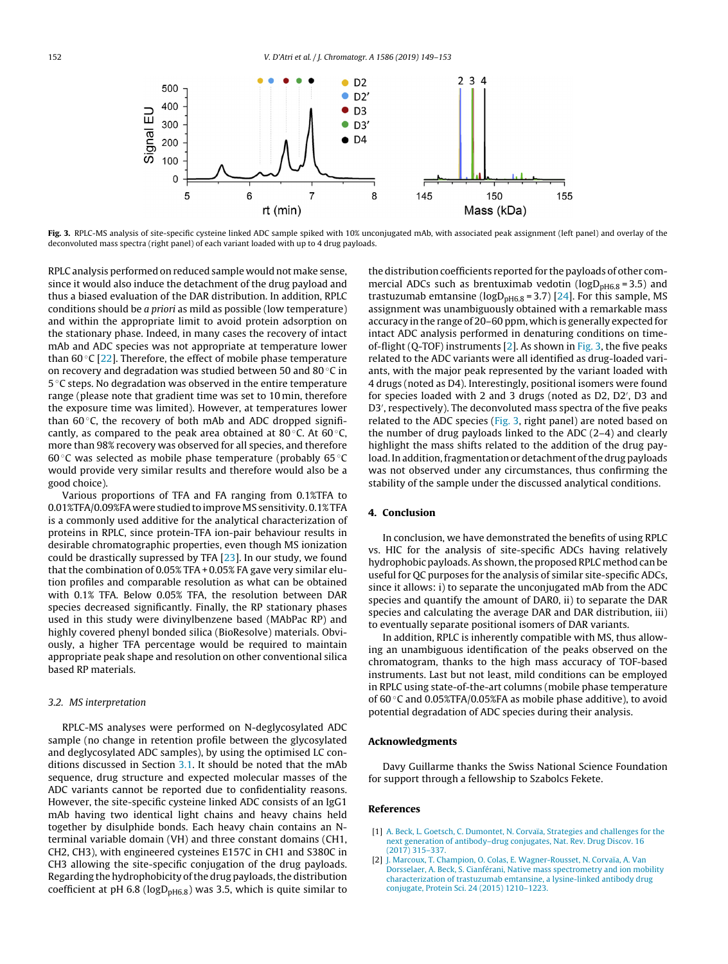<span id="page-3-0"></span>

**Fig. 3.** RPLC-MS analysis of site-specific cysteine linked ADC sample spiked with 10% unconjugated mAb, with associated peak assignment (left panel) and overlay of the deconvoluted mass spectra (right panel) of each variant loaded with up to 4 drug payloads.

RPLC analysis performed on reduced sample would not make sense, since it would also induce the detachment of the drug payload and thus a biased evaluation of the DAR distribution. In addition, RPLC conditions should be a priori as mild as possible (low temperature) and within the appropriate limit to avoid protein adsorption on the stationary phase. Indeed, in many cases the recovery of intact mAb and ADC species was not appropriate at temperature lower than 60 $\degree$ C [\[22\].](#page-4-0) Therefore, the effect of mobile phase temperature on recovery and degradation was studied between 50 and 80 ◦C in 5 ◦C steps. No degradation was observed in the entire temperature range (please note that gradient time was set to 10 min, therefore the exposure time was limited). However, at temperatures lower than  $60^{\circ}$ C, the recovery of both mAb and ADC dropped significantly, as compared to the peak area obtained at 80 $\degree$ C. At 60 $\degree$ C, more than 98% recovery was observed for all species, and therefore 60 $\degree$ C was selected as mobile phase temperature (probably 65 $\degree$ C would provide very similar results and therefore would also be a good choice).

Various proportions of TFA and FA ranging from 0.1%TFA to 0.01%TFA/0.09%FA were studied to improve MS sensitivity. 0.1% TFA is a commonly used additive for the analytical characterization of proteins in RPLC, since protein-TFA ion-pair behaviour results in desirable chromatographic properties, even though MS ionization could be drastically supressed by TFA [[23\].](#page-4-0) In our study, we found that the combination of 0.05% TFA+ 0.05% FA gave very similar elution profiles and comparable resolution as what can be obtained with 0.1% TFA. Below 0.05% TFA, the resolution between DAR species decreased significantly. Finally, the RP stationary phases used in this study were divinylbenzene based (MAbPac RP) and highly covered phenyl bonded silica (BioResolve) materials. Obviously, a higher TFA percentage would be required to maintain appropriate peak shape and resolution on other conventional silica based RP materials.

#### 3.2. MS interpretation

RPLC-MS analyses were performed on N-deglycosylated ADC sample (no change in retention profile between the glycosylated and deglycosylated ADC samples), by using the optimised LC conditions discussed in Section [3.1.](#page-2-0) It should be noted that the mAb sequence, drug structure and expected molecular masses of the ADC variants cannot be reported due to confidentiality reasons. However, the site-specific cysteine linked ADC consists of an IgG1 mAb having two identical light chains and heavy chains held together by disulphide bonds. Each heavy chain contains an Nterminal variable domain (VH) and three constant domains (CH1, CH2, CH3), with engineered cysteines E157C in CH1 and S380C in CH3 allowing the site-specific conjugation of the drug payloads. Regarding the hydrophobicity of the drug payloads, the distribution coefficient at pH 6.8 ( $logD<sub>pH6.8</sub>$ ) was 3.5, which is quite similar to

the distribution coefficients reported for the payloads of other commercial ADCs such as brentuximab vedotin ( $logD<sub>pHG,8</sub> = 3.5$ ) and trastuzumab emtansine ( $logD<sub>pH6.8</sub> = 3.7$ ) [\[24\].](#page-4-0) For this sample, MS assignment was unambiguously obtained with a remarkable mass accuracy in the range of 20–60 ppm, which is generally expected for intact ADC analysis performed in denaturing conditions on timeof-flight (Q-TOF) instruments  $[2]$ . As shown in Fig. 3, the five peaks related to the ADC variants were all identified as drug-loaded variants, with the major peak represented by the variant loaded with 4 drugs (noted as D4). Interestingly, positional isomers were found for species loaded with 2 and 3 drugs (noted as D2, D2 , D3 and D3 , respectively). The deconvoluted mass spectra of the five peaks related to the ADC species (Fig. 3, right panel) are noted based on the number of drug payloads linked to the ADC (2–4) and clearly highlight the mass shifts related to the addition of the drug payload. In addition, fragmentation or detachment of the drug payloads was not observed under any circumstances, thus confirming the stability of the sample under the discussed analytical conditions.

#### **4. Conclusion**

In conclusion, we have demonstrated the benefits of using RPLC vs. HIC for the analysis of site-specific ADCs having relatively hydrophobic payloads. As shown, the proposed RPLC method can be useful for QC purposes for the analysis of similar site-specific ADCs, since it allows: i) to separate the unconjugated mAb from the ADC species and quantify the amount of DAR0, ii) to separate the DAR species and calculating the average DAR and DAR distribution, iii) to eventually separate positional isomers of DAR variants.

In addition, RPLC is inherently compatible with MS, thus allowing an unambiguous identification of the peaks observed on the chromatogram, thanks to the high mass accuracy of TOF-based instruments. Last but not least, mild conditions can be employed in RPLC using state-of-the-art columns (mobile phase temperature of 60 ◦C and 0.05%TFA/0.05%FA as mobile phase additive), to avoid potential degradation of ADC species during their analysis.

#### **Acknowledgments**

Davy Guillarme thanks the Swiss National Science Foundation for support through a fellowship to Szabolcs Fekete.

#### **References**

- [1] [A.](http://refhub.elsevier.com/S0021-9673(18)31527-9/sbref0005) [Beck,](http://refhub.elsevier.com/S0021-9673(18)31527-9/sbref0005) [L.](http://refhub.elsevier.com/S0021-9673(18)31527-9/sbref0005) [Goetsch,](http://refhub.elsevier.com/S0021-9673(18)31527-9/sbref0005) [C.](http://refhub.elsevier.com/S0021-9673(18)31527-9/sbref0005) [Dumontet,](http://refhub.elsevier.com/S0021-9673(18)31527-9/sbref0005) [N.](http://refhub.elsevier.com/S0021-9673(18)31527-9/sbref0005) [Corvaïa,](http://refhub.elsevier.com/S0021-9673(18)31527-9/sbref0005) [Strategies](http://refhub.elsevier.com/S0021-9673(18)31527-9/sbref0005) [and](http://refhub.elsevier.com/S0021-9673(18)31527-9/sbref0005) [challenges](http://refhub.elsevier.com/S0021-9673(18)31527-9/sbref0005) [for](http://refhub.elsevier.com/S0021-9673(18)31527-9/sbref0005) [the](http://refhub.elsevier.com/S0021-9673(18)31527-9/sbref0005) [next](http://refhub.elsevier.com/S0021-9673(18)31527-9/sbref0005) [generation](http://refhub.elsevier.com/S0021-9673(18)31527-9/sbref0005) [of](http://refhub.elsevier.com/S0021-9673(18)31527-9/sbref0005) [antibody–drug](http://refhub.elsevier.com/S0021-9673(18)31527-9/sbref0005) [conjugates,](http://refhub.elsevier.com/S0021-9673(18)31527-9/sbref0005) [Nat.](http://refhub.elsevier.com/S0021-9673(18)31527-9/sbref0005) [Rev.](http://refhub.elsevier.com/S0021-9673(18)31527-9/sbref0005) [Drug](http://refhub.elsevier.com/S0021-9673(18)31527-9/sbref0005) [Discov.](http://refhub.elsevier.com/S0021-9673(18)31527-9/sbref0005) [16](http://refhub.elsevier.com/S0021-9673(18)31527-9/sbref0005) [\(2017\)](http://refhub.elsevier.com/S0021-9673(18)31527-9/sbref0005) [315–337.](http://refhub.elsevier.com/S0021-9673(18)31527-9/sbref0005)
- [2] [J.](http://refhub.elsevier.com/S0021-9673(18)31527-9/sbref0010) [Marcoux,](http://refhub.elsevier.com/S0021-9673(18)31527-9/sbref0010) [T.](http://refhub.elsevier.com/S0021-9673(18)31527-9/sbref0010) [Champion,](http://refhub.elsevier.com/S0021-9673(18)31527-9/sbref0010) [O.](http://refhub.elsevier.com/S0021-9673(18)31527-9/sbref0010) [Colas,](http://refhub.elsevier.com/S0021-9673(18)31527-9/sbref0010) [E.](http://refhub.elsevier.com/S0021-9673(18)31527-9/sbref0010) [Wagner-Rousset,](http://refhub.elsevier.com/S0021-9673(18)31527-9/sbref0010) [N.](http://refhub.elsevier.com/S0021-9673(18)31527-9/sbref0010) [Corvaïa,](http://refhub.elsevier.com/S0021-9673(18)31527-9/sbref0010) [A.](http://refhub.elsevier.com/S0021-9673(18)31527-9/sbref0010) [Van](http://refhub.elsevier.com/S0021-9673(18)31527-9/sbref0010) [Dorsselaer,](http://refhub.elsevier.com/S0021-9673(18)31527-9/sbref0010) [A.](http://refhub.elsevier.com/S0021-9673(18)31527-9/sbref0010) [Beck,](http://refhub.elsevier.com/S0021-9673(18)31527-9/sbref0010) [S.](http://refhub.elsevier.com/S0021-9673(18)31527-9/sbref0010) [Cianférani,](http://refhub.elsevier.com/S0021-9673(18)31527-9/sbref0010) [Native](http://refhub.elsevier.com/S0021-9673(18)31527-9/sbref0010) [mass](http://refhub.elsevier.com/S0021-9673(18)31527-9/sbref0010) [spectrometry](http://refhub.elsevier.com/S0021-9673(18)31527-9/sbref0010) [and](http://refhub.elsevier.com/S0021-9673(18)31527-9/sbref0010) [ion](http://refhub.elsevier.com/S0021-9673(18)31527-9/sbref0010) [mobility](http://refhub.elsevier.com/S0021-9673(18)31527-9/sbref0010) [characterization](http://refhub.elsevier.com/S0021-9673(18)31527-9/sbref0010) [of](http://refhub.elsevier.com/S0021-9673(18)31527-9/sbref0010) [trastuzumab](http://refhub.elsevier.com/S0021-9673(18)31527-9/sbref0010) [emtansine,](http://refhub.elsevier.com/S0021-9673(18)31527-9/sbref0010) [a](http://refhub.elsevier.com/S0021-9673(18)31527-9/sbref0010) [lysine-linked](http://refhub.elsevier.com/S0021-9673(18)31527-9/sbref0010) [antibody](http://refhub.elsevier.com/S0021-9673(18)31527-9/sbref0010) [drug](http://refhub.elsevier.com/S0021-9673(18)31527-9/sbref0010) [conjugate,](http://refhub.elsevier.com/S0021-9673(18)31527-9/sbref0010) [Protein](http://refhub.elsevier.com/S0021-9673(18)31527-9/sbref0010) [Sci.](http://refhub.elsevier.com/S0021-9673(18)31527-9/sbref0010) [24](http://refhub.elsevier.com/S0021-9673(18)31527-9/sbref0010) [\(2015\)](http://refhub.elsevier.com/S0021-9673(18)31527-9/sbref0010) [1210–1223.](http://refhub.elsevier.com/S0021-9673(18)31527-9/sbref0010)